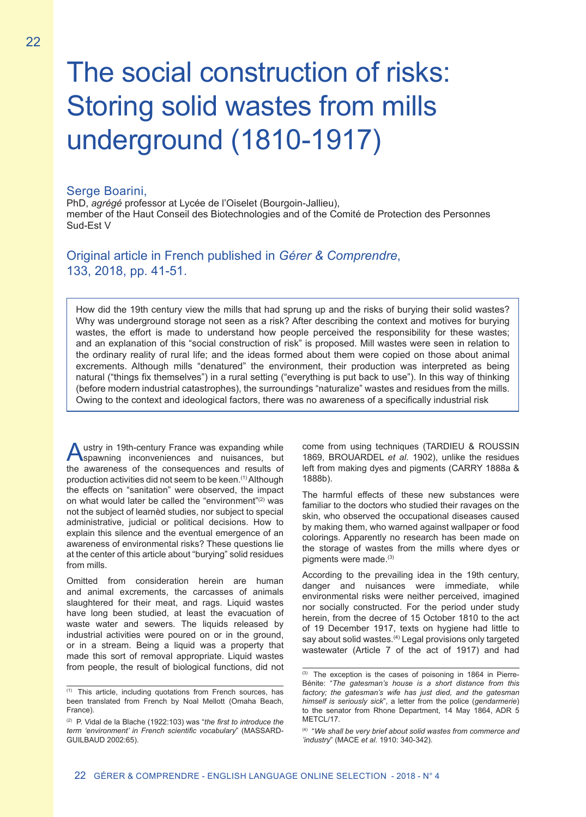# The social construction of risks: Storing solid wastes from mills underground (1810-1917)

#### Serge Boarini,

PhD, *agrégé* professor at Lycée de l'Oiselet (Bourgoin-Jallieu), member of the Haut Conseil des Biotechnologies and of the Comité de Protection des Personnes Sud-Est V

## Original article in French published in *Gérer & Comprendre*, 133, 2018, pp. 41-51.

How did the 19th century view the mills that had sprung up and the risks of burying their solid wastes? Why was underground storage not seen as a risk? After describing the context and motives for burying wastes, the effort is made to understand how people perceived the responsibility for these wastes; and an explanation of this "social construction of risk" is proposed. Mill wastes were seen in relation to the ordinary reality of rural life; and the ideas formed about them were copied on those about animal excrements. Although mills "denatured" the environment, their production was interpreted as being natural ("things fix themselves") in a rural setting ("everything is put back to use"). In this way of thinking (before modern industrial catastrophes), the surroundings "naturalize" wastes and residues from the mills. Owing to the context and ideological factors, there was no awareness of a specifically industrial risk

Austry in 19th-century France was expanding while<br>spawning inconveniences and nuisances, but the awareness of the consequences and results of production activities did not seem to be keen.(1) Although the effects on "sanitation" were observed, the impact on what would later be called the "environment"<sup>(2)</sup> was not the subject of learnèd studies, nor subject to special administrative, judicial or political decisions. How to explain this silence and the eventual emergence of an awareness of environmental risks? These questions lie at the center of this article about "burying" solid residues from mills.

Omitted from consideration herein are human and animal excrements, the carcasses of animals slaughtered for their meat, and rags. Liquid wastes have long been studied, at least the evacuation of waste water and sewers. The liquids released by industrial activities were poured on or in the ground, or in a stream. Being a liquid was a property that made this sort of removal appropriate. Liquid wastes from people, the result of biological functions, did not come from using techniques (TARDIEU & ROUSSIN 1869, BROUARDEL *et al*. 1902), unlike the residues left from making dyes and pigments (CARRY 1888a & 1888b).

The harmful effects of these new substances were familiar to the doctors who studied their ravages on the skin, who observed the occupational diseases caused by making them, who warned against wallpaper or food colorings. Apparently no research has been made on the storage of wastes from the mills where dyes or pigments were made.<sup>(3)</sup>

According to the prevailing idea in the 19th century, danger and nuisances were immediate, while environmental risks were neither perceived, imagined nor socially constructed. For the period under study herein, from the decree of 15 October 1810 to the act of 19 December 1917, texts on hygiene had little to say about solid wastes.<sup>(4)</sup> Legal provisions only targeted wastewater (Article 7 of the act of 1917) and had

<sup>(1)</sup> This article, including quotations from French sources, has been translated from French by Noal Mellott (Omaha Beach, France).

<sup>(2)</sup> P. Vidal de la Blache (1922:103) was "*the first to introduce the term 'environment' in French scientific vocabulary*" (MASSARD-GUILBAUD 2002:65).

<sup>(3)</sup> The exception is the cases of poisoning in 1864 in Pierre-Bénite: "*The gatesman's house is a short distance from this*  factory; the gatesman's wife has just died, and the gatesman *himself is seriously sick*", a letter from the police (*gendarmerie*) to the senator from Rhone Department, 14 May 1864, ADR 5 METCL/17.

<sup>(4)</sup> "*We shall be very brief about solid wastes from commerce and 'industry*" (MACE *et al*. 1910: 340-342).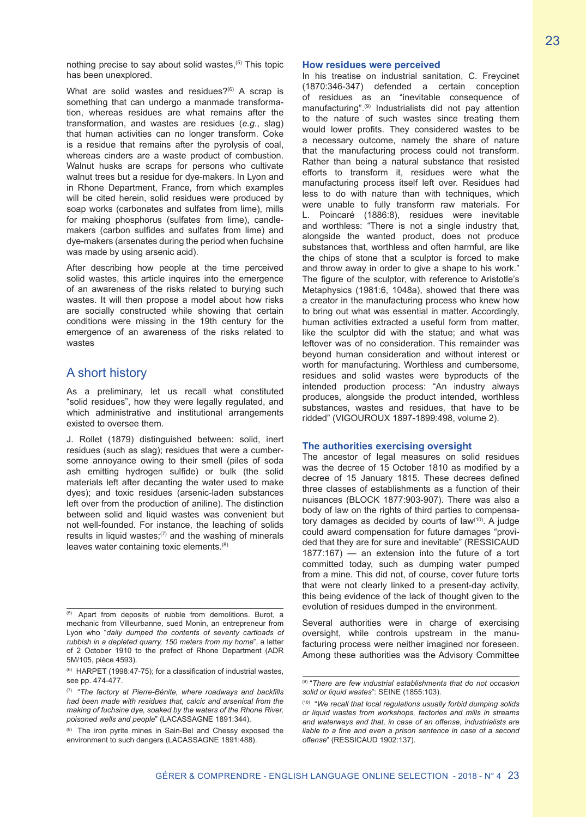nothing precise to say about solid wastes,  $(5)$  This topic has been unexplored.

What are solid wastes and residues?<sup>(6)</sup> A scrap is something that can undergo a manmade transformation, whereas residues are what remains after the transformation, and wastes are residues (*e.g.*, slag) that human activities can no longer transform. Coke is a residue that remains after the pyrolysis of coal, whereas cinders are a waste product of combustion. Walnut husks are scraps for persons who cultivate walnut trees but a residue for dye-makers. In Lyon and in Rhone Department, France, from which examples will be cited herein, solid residues were produced by soap works (carbonates and sulfates from lime), mills for making phosphorus (sulfates from lime), candlemakers (carbon sulfides and sulfates from lime) and dye-makers (arsenates during the period when fuchsine was made by using arsenic acid).

After describing how people at the time perceived solid wastes, this article inquires into the emergence of an awareness of the risks related to burying such wastes. It will then propose a model about how risks are socially constructed while showing that certain conditions were missing in the 19th century for the emergence of an awareness of the risks related to wastes

## A short history

As a preliminary, let us recall what constituted "solid residues", how they were legally regulated, and which administrative and institutional arrangements existed to oversee them.

J. Rollet (1879) distinguished between: solid, inert residues (such as slag); residues that were a cumbersome annoyance owing to their smell (piles of soda ash emitting hydrogen sulfide) or bulk (the solid materials left after decanting the water used to make dyes); and toxic residues (arsenic-laden substances left over from the production of aniline). The distinction between solid and liquid wastes was convenient but not well-founded. For instance, the leaching of solids results in liquid wastes; $(7)$  and the washing of minerals leaves water containing toxic elements.(8)

#### **How residues were perceived**

In his treatise on industrial sanitation, C. Freycinet (1870:346-347) defended a certain conception of residues as an "inevitable consequence of manufacturing".(9) Industrialists did not pay attention to the nature of such wastes since treating them would lower profits. They considered wastes to be a necessary outcome, namely the share of nature that the manufacturing process could not transform. Rather than being a natural substance that resisted efforts to transform it, residues were what the manufacturing process itself left over. Residues had less to do with nature than with techniques, which were unable to fully transform raw materials. For L. Poincaré (1886:8), residues were inevitable and worthless: "There is not a single industry that, alongside the wanted product, does not produce substances that, worthless and often harmful, are like the chips of stone that a sculptor is forced to make and throw away in order to give a shape to his work." The figure of the sculptor, with reference to Aristotle's Metaphysics (1981:6, 1048a), showed that there was a creator in the manufacturing process who knew how to bring out what was essential in matter. Accordingly, human activities extracted a useful form from matter, like the sculptor did with the statue; and what was leftover was of no consideration. This remainder was beyond human consideration and without interest or worth for manufacturing. Worthless and cumbersome, residues and solid wastes were byproducts of the intended production process: "An industry always produces, alongside the product intended, worthless substances, wastes and residues, that have to be ridded" (VIGOUROUX 1897-1899:498, volume 2).

#### **The authorities exercising oversight**

The ancestor of legal measures on solid residues was the decree of 15 October 1810 as modified by a decree of 15 January 1815. These decrees defined three classes of establishments as a function of their nuisances (BLOCK 1877:903-907). There was also a body of law on the rights of third parties to compensatory damages as decided by courts of law<sup>(10)</sup>. A judge could award compensation for future damages "provided that they are for sure and inevitable" (RESSICAUD 1877:167) — an extension into the future of a tort committed today, such as dumping water pumped from a mine. This did not, of course, cover future torts that were not clearly linked to a present-day activity, this being evidence of the lack of thought given to the evolution of residues dumped in the environment.

Several authorities were in charge of exercising oversight, while controls upstream in the manufacturing process were neither imagined nor foreseen. Among these authorities was the Advisory Committee

<sup>(5)</sup> Apart from deposits of rubble from demolitions. Burot, a mechanic from Villeurbanne, sued Monin, an entrepreneur from Lyon who "*daily dumped the contents of seventy cartloads of rubbish in a depleted quarry, 150 meters from my home*", a letter of 2 October 1910 to the prefect of Rhone Department (ADR 5M/105, pièce 4593).

<sup>(6)</sup> HARPET (1998:47-75); for a classification of industrial wastes, see pp. 474-477.

<sup>(7)</sup> "*The factory at Pierre-Bénite, where roadways and backfills had been made with residues that, calcic and arsenical from the making of fuchsine dye, soaked by the waters of the Rhone River, poisoned wells and people*" (LACASSAGNE 1891:344).

<sup>(8)</sup> The iron pyrite mines in Sain-Bel and Chessy exposed the environment to such dangers (LACASSAGNE 1891:488).

<sup>(9)</sup> "*There are few industrial establishments that do not occasion solid or liquid wastes*": SEINE (1855:103).

<sup>(10)</sup> "*We recall that local regulations usually forbid dumping solids or liquid wastes from workshops, factories and mills in streams and waterways and that, in case of an offense, industrialists are liable to a fine and even a prison sentence in case of a second offense*" (RESSICAUD 1902:137).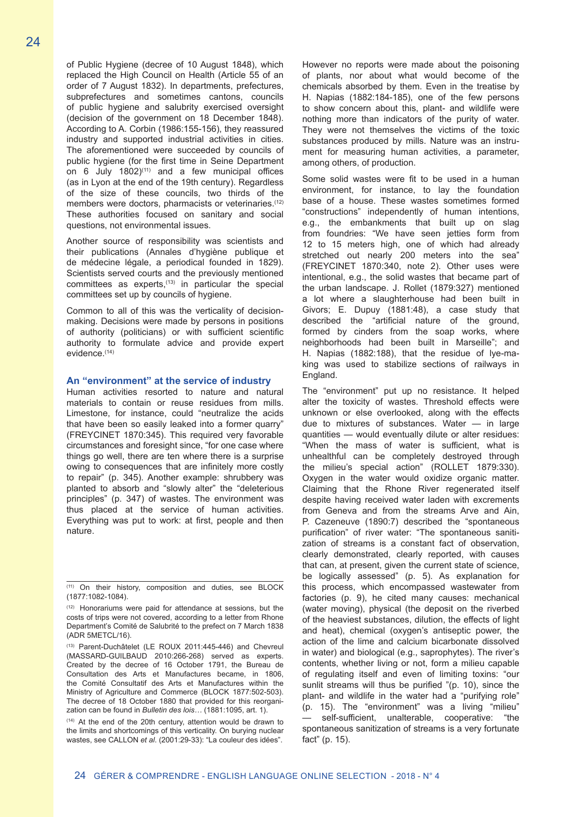of Public Hygiene (decree of 10 August 1848), which replaced the High Council on Health (Article 55 of an order of 7 August 1832). In departments, prefectures, subprefectures and sometimes cantons, councils of public hygiene and salubrity exercised oversight (decision of the government on 18 December 1848). According to A. Corbin (1986:155-156), they reassured industry and supported industrial activities in cities. The aforementioned were succeeded by councils of public hygiene (for the first time in Seine Department on  $6$  July  $1802$ <sup>(11)</sup> and a few municipal offices (as in Lyon at the end of the 19th century). Regardless of the size of these councils, two thirds of the members were doctors, pharmacists or veterinaries.(12) These authorities focused on sanitary and social questions, not environmental issues.

Another source of responsibility was scientists and their publications (Annales d'hygiène publique et de médecine légale, a periodical founded in 1829). Scientists served courts and the previously mentioned committees as experts,(13) in particular the special committees set up by councils of hygiene.

Common to all of this was the verticality of decisionmaking. Decisions were made by persons in positions of authority (politicians) or with sufficient scientific authority to formulate advice and provide expert evidence.(14)

#### **An "environment" at the service of industry**

Human activities resorted to nature and natural materials to contain or reuse residues from mills. Limestone, for instance, could "neutralize the acids that have been so easily leaked into a former quarry" (FREYCINET 1870:345). This required very favorable circumstances and foresight since, "for one case where things go well, there are ten where there is a surprise owing to consequences that are infinitely more costly to repair" (p. 345). Another example: shrubbery was planted to absorb and "slowly alter" the "deleterious principles" (p. 347) of wastes. The environment was thus placed at the service of human activities. Everything was put to work: at first, people and then nature.

(14) At the end of the 20th century, attention would be drawn to the limits and shortcomings of this verticality. On burying nuclear wastes, see CALLON *et al*. (2001:29-33): "La couleur des idées".

However no reports were made about the poisoning of plants, nor about what would become of the chemicals absorbed by them. Even in the treatise by H. Napias (1882:184-185), one of the few persons to show concern about this, plant- and wildlife were nothing more than indicators of the purity of water. They were not themselves the victims of the toxic substances produced by mills. Nature was an instrument for measuring human activities, a parameter, among others, of production.

Some solid wastes were fit to be used in a human environment, for instance, to lay the foundation base of a house. These wastes sometimes formed "constructions" independently of human intentions, e.g., the embankments that built up on slag from foundries: "We have seen jetties form from 12 to 15 meters high, one of which had already stretched out nearly 200 meters into the sea" (FREYCINET 1870:340, note 2). Other uses were intentional, e.g., the solid wastes that became part of the urban landscape. J. Rollet (1879:327) mentioned a lot where a slaughterhouse had been built in Givors; E. Dupuy (1881:48), a case study that described the "artificial nature of the ground, formed by cinders from the soap works, where neighborhoods had been built in Marseille"; and H. Napias (1882:188), that the residue of lye-making was used to stabilize sections of railways in England.

The "environment" put up no resistance. It helped alter the toxicity of wastes. Threshold effects were unknown or else overlooked, along with the effects due to mixtures of substances. Water — in large quantities — would eventually dilute or alter residues: "When the mass of water is sufficient, what is unhealthful can be completely destroyed through the milieu's special action" (ROLLET 1879:330). Oxygen in the water would oxidize organic matter. Claiming that the Rhone River regenerated itself despite having received water laden with excrements from Geneva and from the streams Arve and Ain, P. Cazeneuve (1890:7) described the "spontaneous purification" of river water: "The spontaneous sanitization of streams is a constant fact of observation, clearly demonstrated, clearly reported, with causes that can, at present, given the current state of science, be logically assessed" (p. 5). As explanation for this process, which encompassed wastewater from factories (p. 9), he cited many causes: mechanical (water moving), physical (the deposit on the riverbed of the heaviest substances, dilution, the effects of light and heat), chemical (oxygen's antiseptic power, the action of the lime and calcium bicarbonate dissolved in water) and biological (e.g., saprophytes). The river's contents, whether living or not, form a milieu capable of regulating itself and even of limiting toxins: "our sunlit streams will thus be purified "(p. 10), since the plant- and wildlife in the water had a "purifying role" (p. 15). The "environment" was a living "milieu" self-sufficient, unalterable, cooperative: "the spontaneous sanitization of streams is a very fortunate fact" (p. 15).

<sup>(11)</sup> On their history, composition and duties, see BLOCK (1877:1082-1084).

<sup>(12)</sup> Honorariums were paid for attendance at sessions, but the costs of trips were not covered, according to a letter from Rhone Department's Comité de Salubrité to the prefect on 7 March 1838 (ADR 5METCL/16).

<sup>(13)</sup> Parent-Duchâtelet (LE ROUX 2011:445-446) and Chevreul (MASSARD-GUILBAUD 2010:266-268) served as experts. Created by the decree of 16 October 1791, the Bureau de Consultation des Arts et Manufactures became, in 1806, the Comité Consultatif des Arts et Manufactures within the Ministry of Agriculture and Commerce (BLOCK 1877:502-503). The decree of 18 October 1880 that provided for this reorganization can be found in *Bulletin des lois…* (1881:1095, art. 1).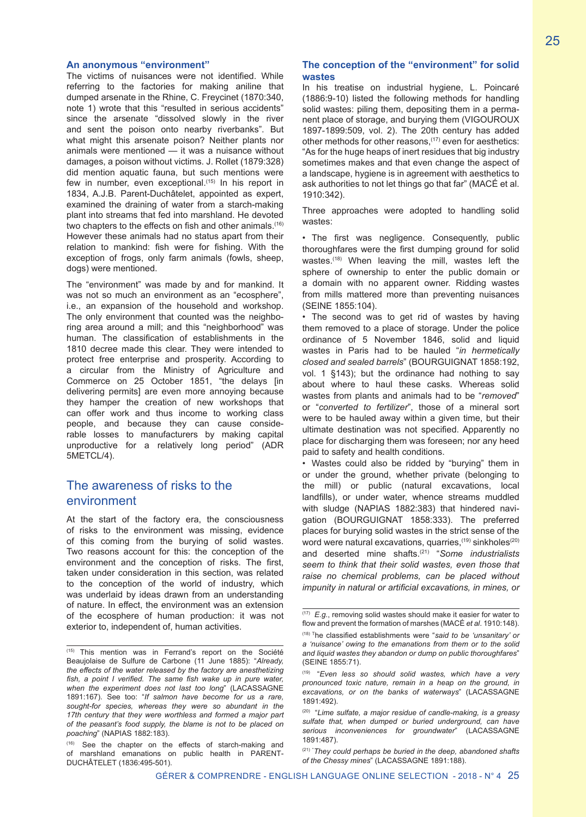#### **An anonymous "environment"**

The victims of nuisances were not identified. While referring to the factories for making aniline that dumped arsenate in the Rhine, C. Freycinet (1870:340, note 1) wrote that this "resulted in serious accidents" since the arsenate "dissolved slowly in the river and sent the poison onto nearby riverbanks". But what might this arsenate poison? Neither plants nor animals were mentioned — it was a nuisance without damages, a poison without victims. J. Rollet (1879:328) did mention aquatic fauna, but such mentions were few in number, even exceptional.(15) In his report in 1834, A.J.B. Parent-Duchâtelet, appointed as expert, examined the draining of water from a starch-making plant into streams that fed into marshland. He devoted two chapters to the effects on fish and other animals.<sup>(16)</sup> However these animals had no status apart from their relation to mankind: fish were for fishing. With the exception of frogs, only farm animals (fowls, sheep, dogs) were mentioned.

The "environment" was made by and for mankind. It was not so much an environment as an "ecosphere", i.e., an expansion of the household and workshop. The only environment that counted was the neighboring area around a mill; and this "neighborhood" was human. The classification of establishments in the 1810 decree made this clear. They were intended to protect free enterprise and prosperity. According to a circular from the Ministry of Agriculture and Commerce on 25 October 1851, "the delays [in delivering permits] are even more annoying because they hamper the creation of new workshops that can offer work and thus income to working class people, and because they can cause considerable losses to manufacturers by making capital unproductive for a relatively long period" (ADR 5METCL/4).

## The awareness of risks to the environment

At the start of the factory era, the consciousness of risks to the environment was missing, evidence of this coming from the burying of solid wastes. Two reasons account for this: the conception of the environment and the conception of risks. The first, taken under consideration in this section, was related to the conception of the world of industry, which was underlaid by ideas drawn from an understanding of nature. In effect, the environment was an extension of the ecosphere of human production: it was not exterior to, independent of, human activities.

#### **The conception of the "environment" for solid wastes**

In his treatise on industrial hygiene, L. Poincaré (1886:9-10) listed the following methods for handling solid wastes: piling them, depositing them in a permanent place of storage, and burying them (VIGOUROUX 1897-1899:509, vol. 2). The 20th century has added other methods for other reasons, <sup>(17)</sup> even for aesthetics: "As for the huge heaps of inert residues that big industry sometimes makes and that even change the aspect of a landscape, hygiene is in agreement with aesthetics to ask authorities to not let things go that far" (MACÉ et al. 1910:342).

Three approaches were adopted to handling solid wastes:

• The first was negligence. Consequently, public thoroughfares were the first dumping ground for solid wastes.<sup>(18)</sup> When leaving the mill, wastes left the sphere of ownership to enter the public domain or a domain with no apparent owner. Ridding wastes from mills mattered more than preventing nuisances (SEINE 1855:104).

• The second was to get rid of wastes by having them removed to a place of storage. Under the police ordinance of 5 November 1846, solid and liquid wastes in Paris had to be hauled "*in hermetically closed and sealed barrels*" (BOURGUIGNAT 1858:192, vol. 1 §143); but the ordinance had nothing to say about where to haul these casks. Whereas solid wastes from plants and animals had to be "*removed*" or "*converted to fertilizer*", those of a mineral sort were to be hauled away within a given time, but their ultimate destination was not specified. Apparently no place for discharging them was foreseen; nor any heed paid to safety and health conditions.

• Wastes could also be ridded by "burying" them in or under the ground, whether private (belonging to the mill) or public (natural excavations, local landfills), or under water, whence streams muddled with sludge (NAPIAS 1882:383) that hindered navigation (BOURGUIGNAT 1858:333). The preferred places for burying solid wastes in the strict sense of the word were natural excavations, quarries,  $(19)$  sinkholes $(20)$ and deserted mine shafts.(21) "*Some industrialists seem to think that their solid wastes, even those that raise no chemical problems, can be placed without impunity in natural or artificial excavations, in mines, or* 

<sup>(15)</sup> This mention was in Ferrand's report on the Société Beaujolaise de Sulfure de Carbone (11 June 1885): "*Already, the effects of the water released by the factory are anesthetizing fish, a point I verified. The same fish wake up in pure water, when the experiment does not last too long*" (LACASSAGNE 1891:167). See too: "*If salmon have become for us a rare, sought-for species, whereas they were so abundant in the 17th century that they were worthless and formed a major part of the peasant's food supply, the blame is not to be placed on poaching*" (NAPIAS 1882:183).

<sup>(16)</sup> See the chapter on the effects of starch-making and of marshland emanations on public health in PARENT-DUCHÂTELET (1836:495-501).

<sup>(17)</sup> *E.g.*, removing solid wastes should make it easier for water to flow and prevent the formation of marshes (MACÉ *et al*. 1910:148).

<sup>(18)</sup> <sup>T</sup>he classified establishments were "*said to be 'unsanitary' or a 'nuisance' owing to the emanations from them or to the solid and liquid wastes they abandon or dump on public thoroughfares*" (SEINE 1855:71).

<sup>(19)</sup> "*Even less so should solid wastes, which have a very pronounced toxic nature, remain in a heap on the ground, in excavations, or on the banks of waterways*" (LACASSAGNE 1891:492).

<sup>(20)</sup> "*Lime sulfate, a major residue of candle-making, is a greasy sulfate that, when dumped or buried underground, can have serious inconveniences for groundwater*" (LACASSAGNE 1891:487).

<sup>(21)</sup> " *They could perhaps be buried in the deep, abandoned shafts of the Chessy mines*" (LACASSAGNE 1891:188).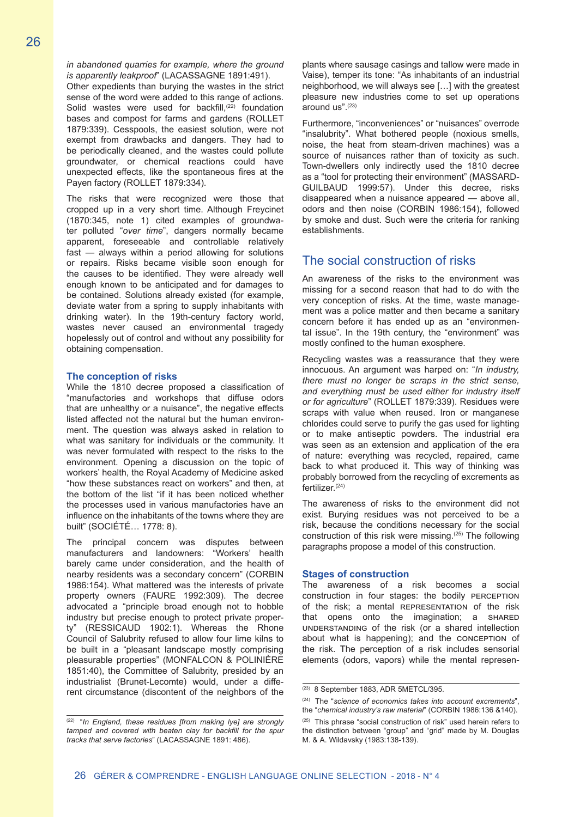*in abandoned quarries for example, where the ground is apparently leakproof*" (LACASSAGNE 1891:491).

Other expedients than burying the wastes in the strict sense of the word were added to this range of actions. Solid wastes were used for backfill,<sup>(22)</sup> foundation bases and compost for farms and gardens (ROLLET 1879:339). Cesspools, the easiest solution, were not exempt from drawbacks and dangers. They had to be periodically cleaned, and the wastes could pollute groundwater, or chemical reactions could have unexpected effects, like the spontaneous fires at the Payen factory (ROLLET 1879:334).

The risks that were recognized were those that cropped up in a very short time. Although Freycinet (1870:345, note 1) cited examples of groundwater polluted "*over time*", dangers normally became apparent, foreseeable and controllable relatively fast — always within a period allowing for solutions or repairs. Risks became visible soon enough for the causes to be identified. They were already well enough known to be anticipated and for damages to be contained. Solutions already existed (for example, deviate water from a spring to supply inhabitants with drinking water). In the 19th-century factory world, wastes never caused an environmental tragedy hopelessly out of control and without any possibility for obtaining compensation.

#### **The conception of risks**

While the 1810 decree proposed a classification of "manufactories and workshops that diffuse odors that are unhealthy or a nuisance", the negative effects listed affected not the natural but the human environment. The question was always asked in relation to what was sanitary for individuals or the community. It was never formulated with respect to the risks to the environment. Opening a discussion on the topic of workers' health, the Royal Academy of Medicine asked "how these substances react on workers" and then, at the bottom of the list "if it has been noticed whether the processes used in various manufactories have an influence on the inhabitants of the towns where they are built" (SOCIÉTÉ… 1778: 8).

The principal concern was disputes between manufacturers and landowners: "Workers' health barely came under consideration, and the health of nearby residents was a secondary concern" (CORBIN 1986:154). What mattered was the interests of private property owners (FAURE 1992:309). The decree advocated a "principle broad enough not to hobble industry but precise enough to protect private property" (RESSICAUD 1902:1). Whereas the Rhone Council of Salubrity refused to allow four lime kilns to be built in a "pleasant landscape mostly comprising pleasurable properties" (MONFALCON & POLINIÈRE 1851:40), the Committee of Salubrity, presided by an industrialist (Brunet-Lecomte) would, under a different circumstance (discontent of the neighbors of the

plants where sausage casings and tallow were made in Vaise), temper its tone: "As inhabitants of an industrial neighborhood, we will always see […] with the greatest pleasure new industries come to set up operations around  $\mathsf{u}\mathsf{s}$ " (23)

Furthermore, "inconveniences" or "nuisances" overrode "insalubrity". What bothered people (noxious smells, noise, the heat from steam-driven machines) was a source of nuisances rather than of toxicity as such. Town-dwellers only indirectly used the 1810 decree as a "tool for protecting their environment" (MASSARD-GUILBAUD 1999:57). Under this decree, risks disappeared when a nuisance appeared — above all, odors and then noise (CORBIN 1986:154), followed by smoke and dust. Such were the criteria for ranking establishments.

## The social construction of risks

An awareness of the risks to the environment was missing for a second reason that had to do with the very conception of risks. At the time, waste management was a police matter and then became a sanitary concern before it has ended up as an "environmental issue". In the 19th century, the "environment" was mostly confined to the human exosphere.

Recycling wastes was a reassurance that they were innocuous. An argument was harped on: "*In industry, there must no longer be scraps in the strict sense, and everything must be used either for industry itself or for agriculture*" (ROLLET 1879:339). Residues were scraps with value when reused. Iron or manganese chlorides could serve to purify the gas used for lighting or to make antiseptic powders. The industrial era was seen as an extension and application of the era of nature: everything was recycled, repaired, came back to what produced it. This way of thinking was probably borrowed from the recycling of excrements as fertilizer.(24)

The awareness of risks to the environment did not exist. Burying residues was not perceived to be a risk, because the conditions necessary for the social construction of this risk were missing.(25) The following paragraphs propose a model of this construction.

#### **Stages of construction**

The awareness of a risk becomes a social construction in four stages: the bodily PERCEPTION of the risk; a mental representation of the risk that opens onto the imagination; a SHARED understanding of the risk (or a shared intellection about what is happening); and the CONCEPTION of the risk. The perception of a risk includes sensorial elements (odors, vapors) while the mental represen-

<sup>(22)</sup> "*In England, these residues [from making lye] are strongly tamped and covered with beaten clay for backfill for the spur tracks that serve factories*" (LACASSAGNE 1891: 486).

<sup>(23)</sup> 8 September 1883, ADR 5METCL/395.

<sup>(24)</sup> The "*science of economics takes into account excrements*", the "*chemical industry's raw material*" (CORBIN 1986:136 &140). (25) This phrase "social construction of risk" used herein refers to the distinction between "group" and "grid" made by M. Douglas M. & A. Wildavsky (1983:138-139).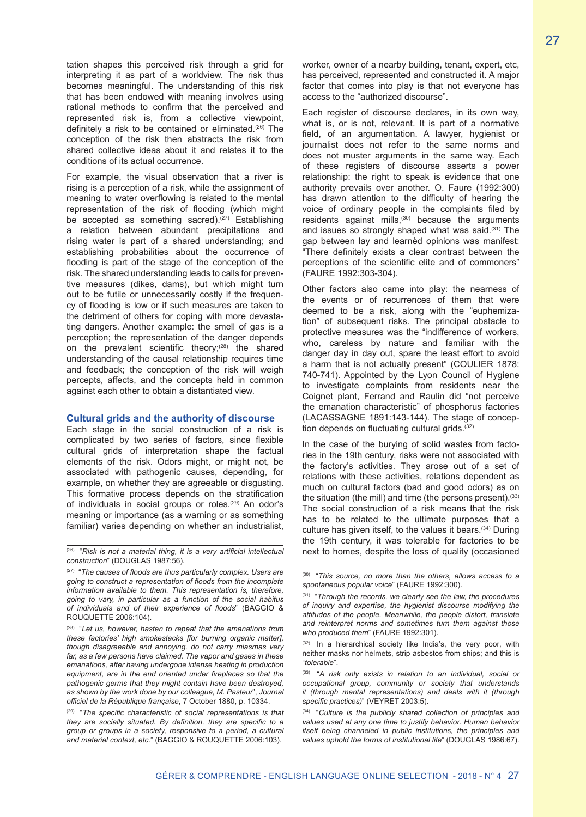tation shapes this perceived risk through a grid for interpreting it as part of a worldview. The risk thus becomes meaningful. The understanding of this risk that has been endowed with meaning involves using rational methods to confirm that the perceived and represented risk is, from a collective viewpoint, definitely a risk to be contained or eliminated.<sup> $(26)$ </sup> The conception of the risk then abstracts the risk from shared collective ideas about it and relates it to the conditions of its actual occurrence.

For example, the visual observation that a river is rising is a perception of a risk, while the assignment of meaning to water overflowing is related to the mental representation of the risk of flooding (which might be accepted as something sacred).<sup>(27)</sup> Establishing a relation between abundant precipitations and rising water is part of a shared understanding; and establishing probabilities about the occurrence of flooding is part of the stage of the conception of the risk. The shared understanding leads to calls for preventive measures (dikes, dams), but which might turn out to be futile or unnecessarily costly if the frequency of flooding is low or if such measures are taken to the detriment of others for coping with more devastating dangers. Another example: the smell of gas is a perception; the representation of the danger depends on the prevalent scientific theory;<sup>(28)</sup> the shared understanding of the causal relationship requires time and feedback; the conception of the risk will weigh percepts, affects, and the concepts held in common against each other to obtain a distantiated view.

#### **Cultural grids and the authority of discourse**

Each stage in the social construction of a risk is complicated by two series of factors, since flexible cultural grids of interpretation shape the factual elements of the risk. Odors might, or might not, be associated with pathogenic causes, depending, for example, on whether they are agreeable or disgusting. This formative process depends on the stratification of individuals in social groups or roles.<sup>(29)</sup> An odor's meaning or importance (as a warning or as something familiar) varies depending on whether an industrialist,

worker, owner of a nearby building, tenant, expert, etc, has perceived, represented and constructed it. A major factor that comes into play is that not everyone has access to the "authorized discourse".

Each register of discourse declares, in its own way, what is, or is not, relevant. It is part of a normative field, of an argumentation. A lawyer, hygienist or journalist does not refer to the same norms and does not muster arguments in the same way. Each of these registers of discourse asserts a power relationship: the right to speak is evidence that one authority prevails over another. O. Faure (1992:300) has drawn attention to the difficulty of hearing the voice of ordinary people in the complaints filed by residents against mills,<sup>(30)</sup> because the arguments and issues so strongly shaped what was said.<sup>(31)</sup> The gap between lay and learnèd opinions was manifest: "There definitely exists a clear contrast between the perceptions of the scientific elite and of commoners" (FAURE 1992:303-304).

Other factors also came into play: the nearness of the events or of recurrences of them that were deemed to be a risk, along with the "euphemization" of subsequent risks. The principal obstacle to protective measures was the "indifference of workers, who, careless by nature and familiar with the danger day in day out, spare the least effort to avoid a harm that is not actually present" (COULIER 1878: 740-741). Appointed by the Lyon Council of Hygiene to investigate complaints from residents near the Coignet plant, Ferrand and Raulin did "not perceive the emanation characteristic" of phosphorus factories (LACASSAGNE 1891:143-144). The stage of conception depends on fluctuating cultural grids.<sup>(32)</sup>

In the case of the burying of solid wastes from factories in the 19th century, risks were not associated with the factory's activities. They arose out of a set of relations with these activities, relations dependent as much on cultural factors (bad and good odors) as on the situation (the mill) and time (the persons present). $(33)$ The social construction of a risk means that the risk has to be related to the ultimate purposes that a culture has given itself, to the values it bears.<sup>(34)</sup> During the 19th century, it was tolerable for factories to be next to homes, despite the loss of quality (occasioned

 $\overline{^{(26)}}$  "Risk is not a material thing, it is a very artificial intellectual *construction*" (DOUGLAS 1987:56).

<sup>(27)</sup> "*The causes of floods are thus particularly complex. Users are going to construct a representation of floods from the incomplete information available to them. This representation is, therefore, going to vary, in particular as a function of the social habitus of individuals and of their experience of floods*" (BAGGIO & ROUQUETTE 2006:104).

<sup>(28)</sup> "*Let us, however, hasten to repeat that the emanations from these factories' high smokestacks [for burning organic matter], though disagreeable and annoying, do not carry miasmas very far, as a few persons have claimed. The vapor and gases in these emanations, after having undergone intense heating in production equipment, are in the end oriented under fireplaces so that the pathogenic germs that they might contain have been destroyed, as shown by the work done by our colleague, M. Pasteur*", *Journal officiel de la République française*, 7 October 1880, p. 10334.

<sup>(29)</sup> "*The specific characteristic of social representations is that they are socially situated. By definition, they are specific to a group or groups in a society, responsive to a period, a cultural and material context, etc.*" (BAGGIO & ROUQUETTE 2006:103).

<sup>(30)</sup> "*This source, no more than the others, allows access to a spontaneous popular voice*" (FAURE 1992:300).

<sup>(31)</sup> "*Through the records, we clearly see the law, the procedures of inquiry and expertise, the hygienist discourse modifying the attitudes of the people. Meanwhile, the people distort, translate and reinterpret norms and sometimes turn them against those who produced them*" (FAURE 1992:301).

<sup>(32)</sup> In a hierarchical society like India's, the very poor, with neither masks nor helmets, strip asbestos from ships; and this is "*tolerable*".

<sup>(33)</sup> "*A risk only exists in relation to an individual, social or occupational group, community or society that understands it (through mental representations) and deals with it (through specific practices)*" (VEYRET 2003:5).

<sup>(34)</sup> "*Culture is the publicly shared collection of principles and values used at any one time to justify behavior. Human behavior itself being channeled in public institutions, the principles and values uphold the forms of institutional life*" (DOUGLAS 1986:67).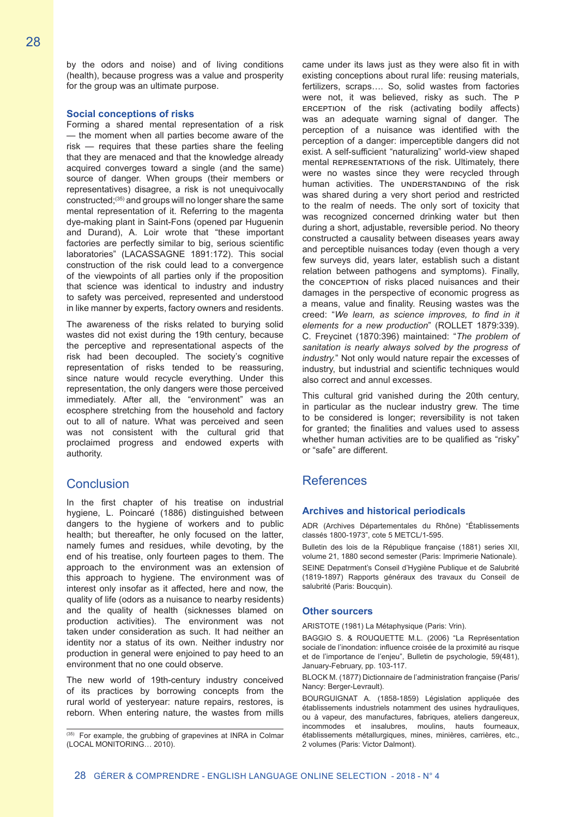by the odors and noise) and of living conditions (health), because progress was a value and prosperity for the group was an ultimate purpose.

#### **Social conceptions of risks**

Forming a shared mental representation of a risk — the moment when all parties become aware of the risk — requires that these parties share the feeling that they are menaced and that the knowledge already acquired converges toward a single (and the same) source of danger. When groups (their members or representatives) disagree, a risk is not unequivocally constructed;(35) and groups will no longer share the same mental representation of it. Referring to the magenta dye-making plant in Saint-Fons (opened par Huguenin and Durand), A. Loir wrote that "these important factories are perfectly similar to big, serious scientific laboratories" (LACASSAGNE 1891:172). This social construction of the risk could lead to a convergence of the viewpoints of all parties only if the proposition that science was identical to industry and industry to safety was perceived, represented and understood in like manner by experts, factory owners and residents.

The awareness of the risks related to burying solid wastes did not exist during the 19th century, because the perceptive and representational aspects of the risk had been decoupled. The society's cognitive representation of risks tended to be reassuring, since nature would recycle everything. Under this representation, the only dangers were those perceived immediately. After all, the "environment" was an ecosphere stretching from the household and factory out to all of nature. What was perceived and seen was not consistent with the cultural grid that proclaimed progress and endowed experts with authority.

## **Conclusion**

In the first chapter of his treatise on industrial hygiene, L. Poincaré (1886) distinguished between dangers to the hygiene of workers and to public health; but thereafter, he only focused on the latter, namely fumes and residues, while devoting, by the end of his treatise, only fourteen pages to them. The approach to the environment was an extension of this approach to hygiene. The environment was of interest only insofar as it affected, here and now, the quality of life (odors as a nuisance to nearby residents) and the quality of health (sicknesses blamed on production activities). The environment was not taken under consideration as such. It had neither an identity nor a status of its own. Neither industry nor production in general were enjoined to pay heed to an environment that no one could observe.

The new world of 19th-century industry conceived of its practices by borrowing concepts from the rural world of yesteryear: nature repairs, restores, is reborn. When entering nature, the wastes from mills came under its laws just as they were also fit in with existing conceptions about rural life: reusing materials, fertilizers, scraps…. So, solid wastes from factories were not, it was believed, risky as such. The p erception of the risk (activating bodily affects) was an adequate warning signal of danger. The perception of a nuisance was identified with the perception of a danger: imperceptible dangers did not exist. A self-sufficient "naturalizing" world-view shaped mental REPRESENTATIONS of the risk. Ultimately, there were no wastes since they were recycled through human activities. The UNDERSTANDING of the risk was shared during a very short period and restricted to the realm of needs. The only sort of toxicity that was recognized concerned drinking water but then during a short, adjustable, reversible period. No theory constructed a causality between diseases years away and perceptible nuisances today (even though a very few surveys did, years later, establish such a distant relation between pathogens and symptoms). Finally, the conception of risks placed nuisances and their damages in the perspective of economic progress as a means, value and finality. Reusing wastes was the creed: "*We learn, as science improves, to find in it elements for a new production*" (ROLLET 1879:339). C. Freycinet (1870:396) maintained: "*The problem of sanitation is nearly always solved by the progress of industry.*" Not only would nature repair the excesses of industry, but industrial and scientific techniques would also correct and annul excesses.

This cultural grid vanished during the 20th century, in particular as the nuclear industry grew. The time to be considered is longer; reversibility is not taken for granted; the finalities and values used to assess whether human activities are to be qualified as "risky" or "safe" are different.

## References

#### **Archives and historical periodicals**

ADR (Archives Départementales du Rhône) "Établissements classés 1800-1973", cote 5 METCL/1-595.

Bulletin des lois de la République française (1881) series XII, volume 21, 1880 second semester (Paris: Imprimerie Nationale).

SEINE Depatrment's Conseil d'Hygiène Publique et de Salubrité (1819-1897) Rapports généraux des travaux du Conseil de salubrité (Paris: Boucquin).

#### **Other sourcers**

ARISTOTE (1981) La Métaphysique (Paris: Vrin).

BAGGIO S. & ROUQUETTE M.L. (2006) "La Représentation sociale de l'inondation: influence croisée de la proximité au risque et de l'importance de l'enjeu", Bulletin de psychologie, 59(481), January-February, pp. 103-117.

BLOCK M. (1877) Dictionnaire de l'administration française (Paris/ Nancy: Berger-Levrault).

BOURGUIGNAT A. (1858-1859) Législation appliquée des établissements industriels notamment des usines hydrauliques, ou à vapeur, des manufactures, fabriques, ateliers dangereux, incommodes et insalubres, moulins, hauts fourneaux, établissements métallurgiques, mines, minières, carrières, etc., 2 volumes (Paris: Victor Dalmont).

<sup>(35)</sup> For example, the grubbing of grapevines at INRA in Colmar (LOCAL MONITORING… 2010).